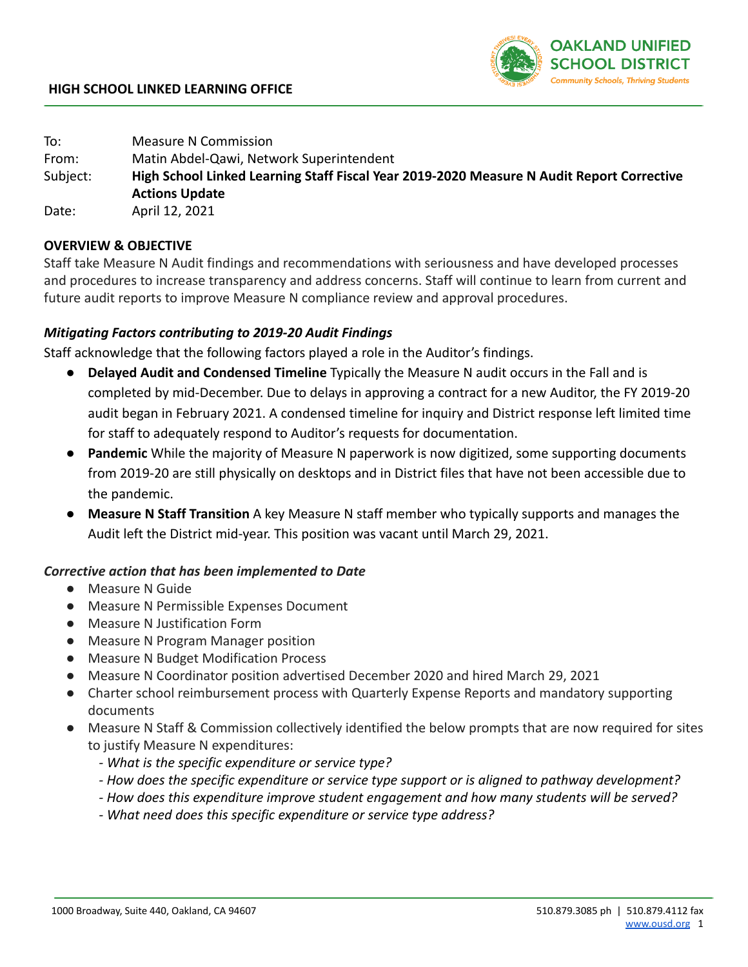

To: Measure N Commission From: Matin Abdel-Qawi, Network Superintendent Subject: **High School Linked Learning Staff Fiscal Year 2019-2020 Measure N Audit Report Corrective Actions Update** Date: April 12, 2021

## **OVERVIEW & OBJECTIVE**

Staff take Measure N Audit findings and recommendations with seriousness and have developed processes and procedures to increase transparency and address concerns. Staff will continue to learn from current and future audit reports to improve Measure N compliance review and approval procedures.

## *Mitigating Factors contributing to 2019-20 Audit Findings*

Staff acknowledge that the following factors played a role in the Auditor's findings.

- **Delayed Audit and Condensed Timeline** Typically the Measure N audit occurs in the Fall and is completed by mid-December. Due to delays in approving a contract for a new Auditor, the FY 2019-20 audit began in February 2021. A condensed timeline for inquiry and District response left limited time for staff to adequately respond to Auditor's requests for documentation.
- **Pandemic** While the majority of Measure N paperwork is now digitized, some supporting documents from 2019-20 are still physically on desktops and in District files that have not been accessible due to the pandemic.
- **Measure N Staff Transition** A key Measure N staff member who typically supports and manages the Audit left the District mid-year. This position was vacant until March 29, 2021.

## *Corrective action that has been implemented to Date*

- Measure N Guide
- Measure N Permissible Expenses Document
- Measure N Justification Form
- Measure N Program Manager position
- Measure N Budget Modification Process
- Measure N Coordinator position advertised December 2020 and hired March 29, 2021
- Charter school reimbursement process with Quarterly Expense Reports and mandatory supporting documents
- Measure N Staff & Commission collectively identified the below prompts that are now required for sites to justify Measure N expenditures:
	- *What is the specific expenditure or service type?*
	- *How does the specific expenditure or service type support or is aligned to pathway development?*
	- *How does this expenditure improve student engagement and how many students will be served?*
	- *What need does this specific expenditure or service type address?*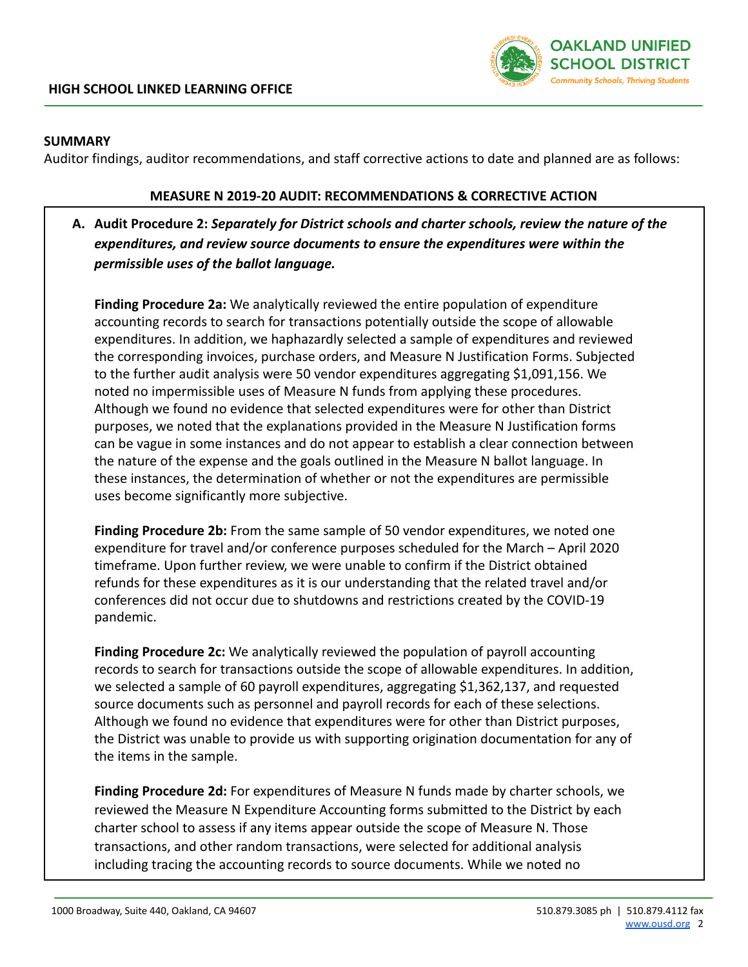

## **SUMMARY**

Auditor findings, auditor recommendations, and staff corrective actions to date and planned are as follows:

#### **MEASURE N 2019-20 AUDIT: RECOMMENDATIONS & CORRECTIVE ACTION**

# **A. Audit Procedure 2:** *Separately for District schools and charter schools, review the nature of the expenditures, and review source documents to ensure the expenditures were within the permissible uses of the ballot language.*

**Finding Procedure 2a:** We analytically reviewed the entire population of expenditure accounting records to search for transactions potentially outside the scope of allowable expenditures. In addition, we haphazardly selected a sample of expenditures and reviewed the corresponding invoices, purchase orders, and Measure N Justification Forms. Subjected to the further audit analysis were 50 vendor expenditures aggregating \$1,091,156. We noted no impermissible uses of Measure N funds from applying these procedures. Although we found no evidence that selected expenditures were for other than District purposes, we noted that the explanations provided in the Measure N Justification forms can be vague in some instances and do not appear to establish a clear connection between the nature of the expense and the goals outlined in the Measure N ballot language. In these instances, the determination of whether or not the expenditures are permissible uses become significantly more subjective.

**Finding Procedure 2b:** From the same sample of 50 vendor expenditures, we noted one expenditure for travel and/or conference purposes scheduled for the March – April 2020 timeframe. Upon further review, we were unable to confirm if the District obtained refunds for these expenditures as it is our understanding that the related travel and/or conferences did not occur due to shutdowns and restrictions created by the COVID-19 pandemic.

**Finding Procedure 2c:** We analytically reviewed the population of payroll accounting records to search for transactions outside the scope of allowable expenditures. In addition, we selected a sample of 60 payroll expenditures, aggregating \$1,362,137, and requested source documents such as personnel and payroll records for each of these selections. Although we found no evidence that expenditures were for other than District purposes, the District was unable to provide us with supporting origination documentation for any of the items in the sample.

**Finding Procedure 2d:** For expenditures of Measure N funds made by charter schools, we reviewed the Measure N Expenditure Accounting forms submitted to the District by each charter school to assess if any items appear outside the scope of Measure N. Those transactions, and other random transactions, were selected for additional analysis including tracing the accounting records to source documents. While we noted no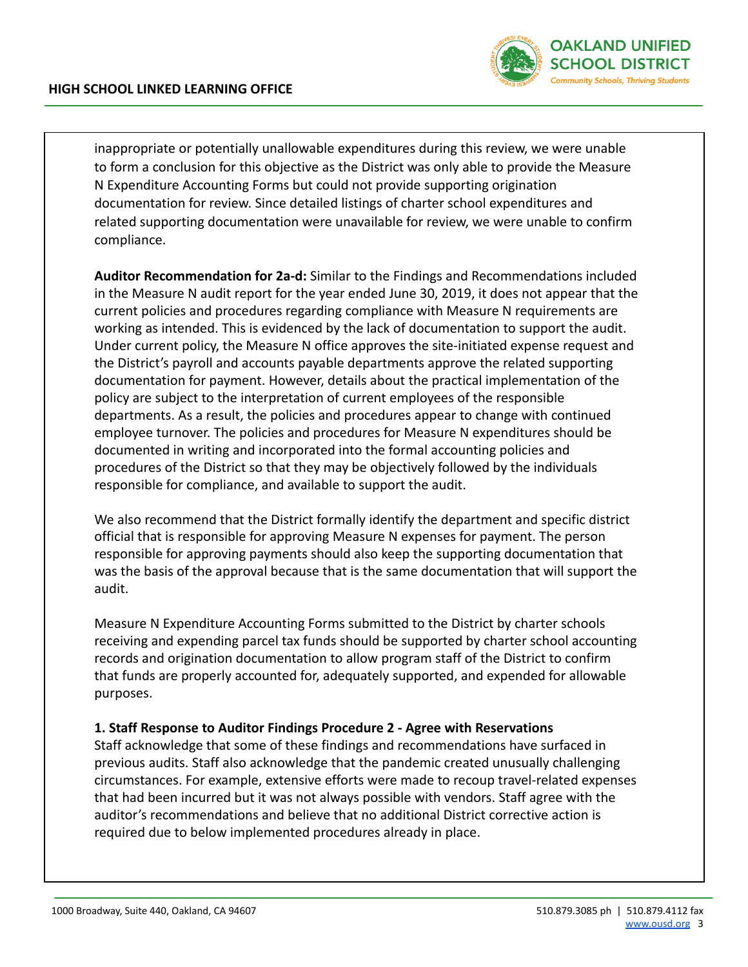

inappropriate or potentially unallowable expenditures during this review, we were unable to form a conclusion for this objective as the District was only able to provide the Measure N Expenditure Accounting Forms but could not provide supporting origination documentation for review. Since detailed listings of charter school expenditures and related supporting documentation were unavailable for review, we were unable to confirm compliance.

**Auditor Recommendation for 2a-d:** Similar to the Findings and Recommendations included in the Measure N audit report for the year ended June 30, 2019, it does not appear that the current policies and procedures regarding compliance with Measure N requirements are working as intended. This is evidenced by the lack of documentation to support the audit. Under current policy, the Measure N office approves the site-initiated expense request and the District's payroll and accounts payable departments approve the related supporting documentation for payment. However, details about the practical implementation of the policy are subject to the interpretation of current employees of the responsible departments. As a result, the policies and procedures appear to change with continued employee turnover. The policies and procedures for Measure N expenditures should be documented in writing and incorporated into the formal accounting policies and procedures of the District so that they may be objectively followed by the individuals responsible for compliance, and available to support the audit.

We also recommend that the District formally identify the department and specific district official that is responsible for approving Measure N expenses for payment. The person responsible for approving payments should also keep the supporting documentation that was the basis of the approval because that is the same documentation that will support the audit.

Measure N Expenditure Accounting Forms submitted to the District by charter schools receiving and expending parcel tax funds should be supported by charter school accounting records and origination documentation to allow program staff of the District to confirm that funds are properly accounted for, adequately supported, and expended for allowable purposes.

## **1. Staff Response to Auditor Findings Procedure 2 - Agree with Reservations**

Staff acknowledge that some of these findings and recommendations have surfaced in previous audits. Staff also acknowledge that the pandemic created unusually challenging circumstances. For example, extensive efforts were made to recoup travel-related expenses that had been incurred but it was not always possible with vendors. Staff agree with the auditor's recommendations and believe that no additional District corrective action is required due to below implemented procedures already in place.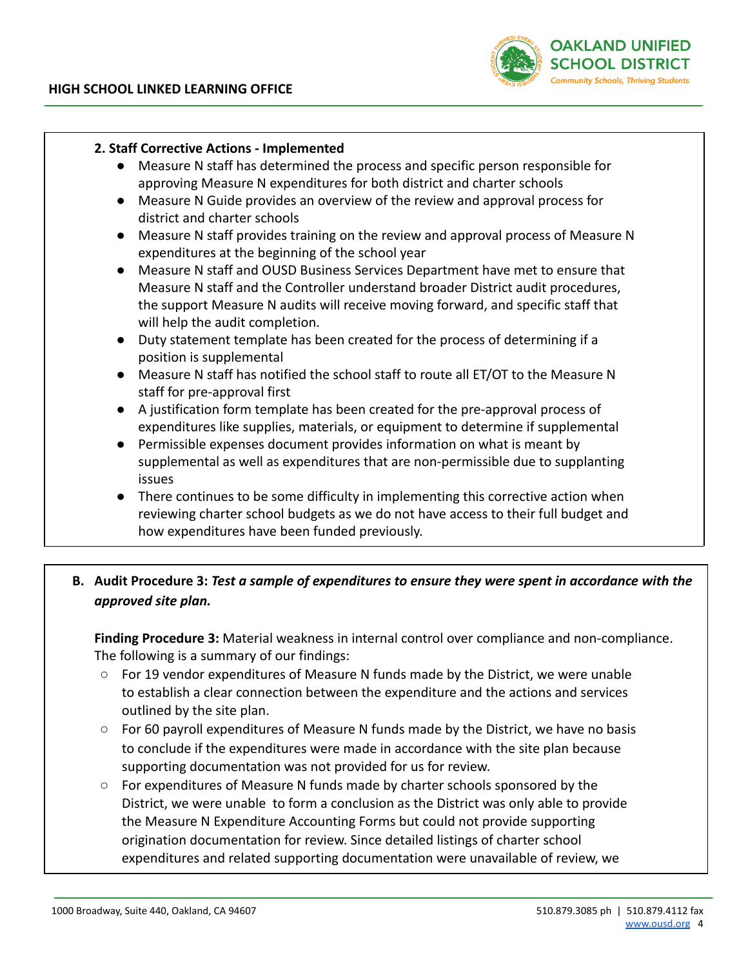

## **2. Staff Corrective Actions - Implemented**

- Measure N staff has determined the process and specific person responsible for approving Measure N expenditures for both district and charter schools
- Measure N Guide provides an overview of the review and approval process for district and charter schools
- Measure N staff provides training on the review and approval process of Measure N expenditures at the beginning of the school year
- Measure N staff and OUSD Business Services Department have met to ensure that Measure N staff and the Controller understand broader District audit procedures, the support Measure N audits will receive moving forward, and specific staff that will help the audit completion.
- Duty statement template has been created for the process of determining if a position is supplemental
- Measure N staff has notified the school staff to route all ET/OT to the Measure N staff for pre-approval first
- A justification form template has been created for the pre-approval process of expenditures like supplies, materials, or equipment to determine if supplemental
- Permissible expenses document provides information on what is meant by supplemental as well as expenditures that are non-permissible due to supplanting issues
- There continues to be some difficulty in implementing this corrective action when reviewing charter school budgets as we do not have access to their full budget and how expenditures have been funded previously.

# **B. Audit Procedure 3:** *Test a sample of expenditures to ensure they were spent in accordance with the approved site plan.*

**Finding Procedure 3:** Material weakness in internal control over compliance and non-compliance. The following is a summary of our findings:

- $\circ$  For 19 vendor expenditures of Measure N funds made by the District, we were unable to establish a clear connection between the expenditure and the actions and services outlined by the site plan.
- $\circ$  For 60 payroll expenditures of Measure N funds made by the District, we have no basis to conclude if the expenditures were made in accordance with the site plan because supporting documentation was not provided for us for review.
- For expenditures of Measure N funds made by charter schools sponsored by the District, we were unable to form a conclusion as the District was only able to provide the Measure N Expenditure Accounting Forms but could not provide supporting origination documentation for review. Since detailed listings of charter school expenditures and related supporting documentation were unavailable of review, we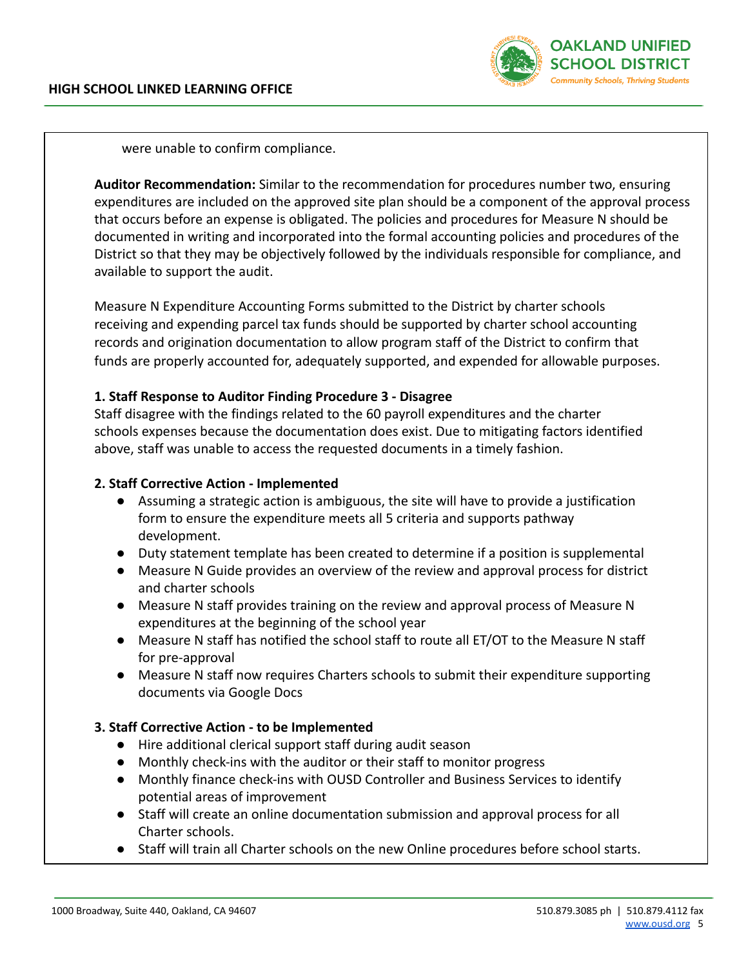

were unable to confirm compliance.

**Auditor Recommendation:** Similar to the recommendation for procedures number two, ensuring expenditures are included on the approved site plan should be a component of the approval process that occurs before an expense is obligated. The policies and procedures for Measure N should be documented in writing and incorporated into the formal accounting policies and procedures of the District so that they may be objectively followed by the individuals responsible for compliance, and available to support the audit.

Measure N Expenditure Accounting Forms submitted to the District by charter schools receiving and expending parcel tax funds should be supported by charter school accounting records and origination documentation to allow program staff of the District to confirm that funds are properly accounted for, adequately supported, and expended for allowable purposes.

## **1. Staff Response to Auditor Finding Procedure 3 - Disagree**

Staff disagree with the findings related to the 60 payroll expenditures and the charter schools expenses because the documentation does exist. Due to mitigating factors identified above, staff was unable to access the requested documents in a timely fashion.

### **2. Staff Corrective Action - Implemented**

- Assuming a strategic action is ambiguous, the site will have to provide a justification form to ensure the expenditure meets all 5 criteria and supports pathway development.
- Duty statement template has been created to determine if a position is supplemental
- Measure N Guide provides an overview of the review and approval process for district and charter schools
- Measure N staff provides training on the review and approval process of Measure N expenditures at the beginning of the school year
- Measure N staff has notified the school staff to route all ET/OT to the Measure N staff for pre-approval
- Measure N staff now requires Charters schools to submit their expenditure supporting documents via Google Docs

## **3. Staff Corrective Action - to be Implemented**

- Hire additional clerical support staff during audit season
- Monthly check-ins with the auditor or their staff to monitor progress
- Monthly finance check-ins with OUSD Controller and Business Services to identify potential areas of improvement
- Staff will create an online documentation submission and approval process for all Charter schools.
- Staff will train all Charter schools on the new Online procedures before school starts.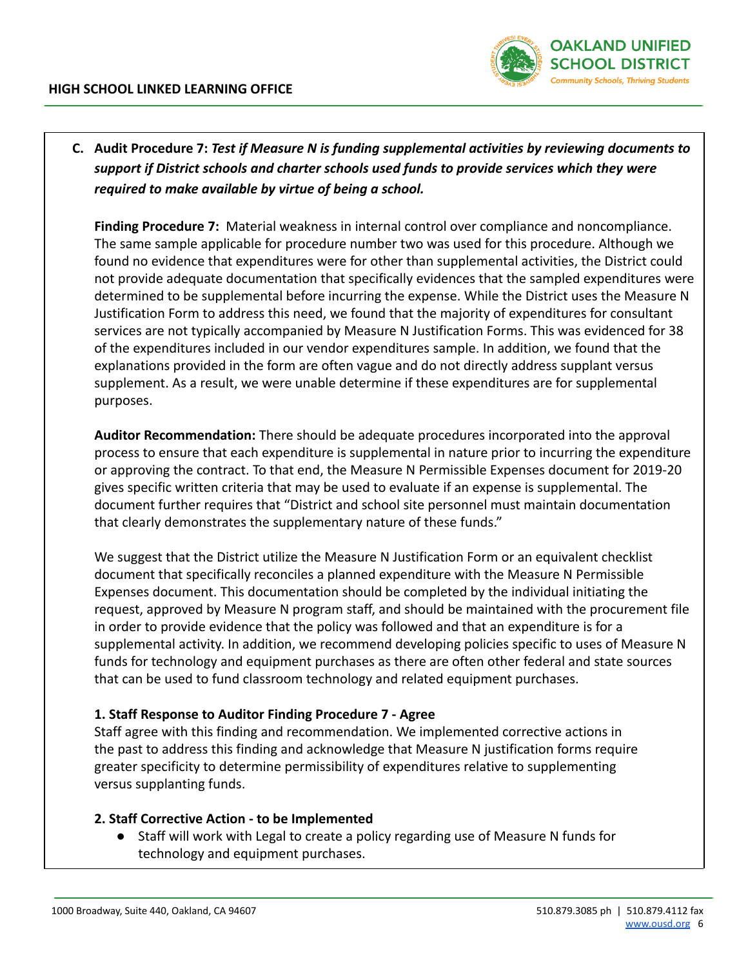

**C. Audit Procedure 7:** *Test if Measure N is funding supplemental activities by reviewing documents to support if District schools and charter schools used funds to provide services which they were required to make available by virtue of being a school.*

**Finding Procedure 7:** Material weakness in internal control over compliance and noncompliance. The same sample applicable for procedure number two was used for this procedure. Although we found no evidence that expenditures were for other than supplemental activities, the District could not provide adequate documentation that specifically evidences that the sampled expenditures were determined to be supplemental before incurring the expense. While the District uses the Measure N Justification Form to address this need, we found that the majority of expenditures for consultant services are not typically accompanied by Measure N Justification Forms. This was evidenced for 38 of the expenditures included in our vendor expenditures sample. In addition, we found that the explanations provided in the form are often vague and do not directly address supplant versus supplement. As a result, we were unable determine if these expenditures are for supplemental purposes.

**Auditor Recommendation:** There should be adequate procedures incorporated into the approval process to ensure that each expenditure is supplemental in nature prior to incurring the expenditure or approving the contract. To that end, the Measure N Permissible Expenses document for 2019-20 gives specific written criteria that may be used to evaluate if an expense is supplemental. The document further requires that "District and school site personnel must maintain documentation that clearly demonstrates the supplementary nature of these funds."

We suggest that the District utilize the Measure N Justification Form or an equivalent checklist document that specifically reconciles a planned expenditure with the Measure N Permissible Expenses document. This documentation should be completed by the individual initiating the request, approved by Measure N program staff, and should be maintained with the procurement file in order to provide evidence that the policy was followed and that an expenditure is for a supplemental activity. In addition, we recommend developing policies specific to uses of Measure N funds for technology and equipment purchases as there are often other federal and state sources that can be used to fund classroom technology and related equipment purchases.

## **1. Staff Response to Auditor Finding Procedure 7 - Agree**

Staff agree with this finding and recommendation. We implemented corrective actions in the past to address this finding and acknowledge that Measure N justification forms require greater specificity to determine permissibility of expenditures relative to supplementing versus supplanting funds.

## **2. Staff Corrective Action - to be Implemented**

Staff will work with Legal to create a policy regarding use of Measure N funds for technology and equipment purchases.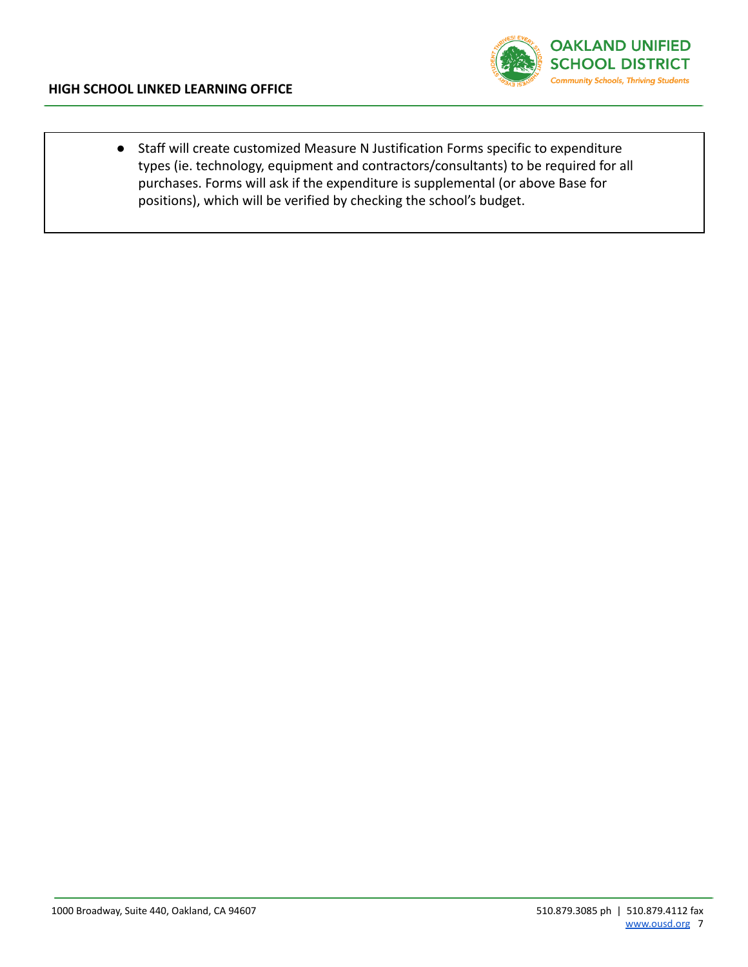

● Staff will create customized Measure N Justification Forms specific to expenditure types (ie. technology, equipment and contractors/consultants) to be required for all purchases. Forms will ask if the expenditure is supplemental (or above Base for positions), which will be verified by checking the school's budget.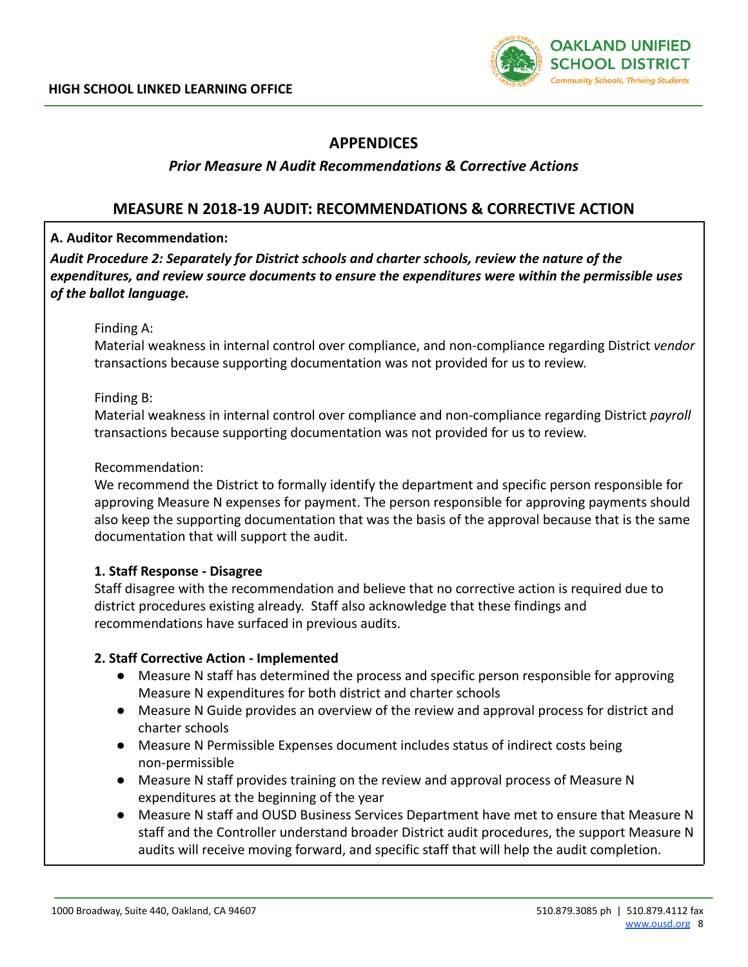

# **APPENDICES**

## *Prior Measure N Audit Recommendations & Corrective Actions*

# **MEASURE N 2018-19 AUDIT: RECOMMENDATIONS & CORRECTIVE ACTION**

## **A. Auditor Recommendation:**

*Audit Procedure 2: Separately for District schools and charter schools, review the nature of the expenditures, and review source documents to ensure the expenditures were within the permissible uses of the ballot language.*

#### Finding A:

Material weakness in internal control over compliance, and non-compliance regarding District *vendor* transactions because supporting documentation was not provided for us to review.

#### Finding B:

Material weakness in internal control over compliance and non-compliance regarding District *payroll* transactions because supporting documentation was not provided for us to review.

#### Recommendation:

We recommend the District to formally identify the department and specific person responsible for approving Measure N expenses for payment. The person responsible for approving payments should also keep the supporting documentation that was the basis of the approval because that is the same documentation that will support the audit.

## **1. Staff Response - Disagree**

Staff disagree with the recommendation and believe that no corrective action is required due to district procedures existing already. Staff also acknowledge that these findings and recommendations have surfaced in previous audits.

## **2. Staff Corrective Action - Implemented**

- Measure N staff has determined the process and specific person responsible for approving Measure N expenditures for both district and charter schools
- Measure N Guide provides an overview of the review and approval process for district and charter schools
- Measure N Permissible Expenses document includes status of indirect costs being non-permissible
- Measure N staff provides training on the review and approval process of Measure N expenditures at the beginning of the year
- Measure N staff and OUSD Business Services Department have met to ensure that Measure N staff and the Controller understand broader District audit procedures, the support Measure N audits will receive moving forward, and specific staff that will help the audit completion.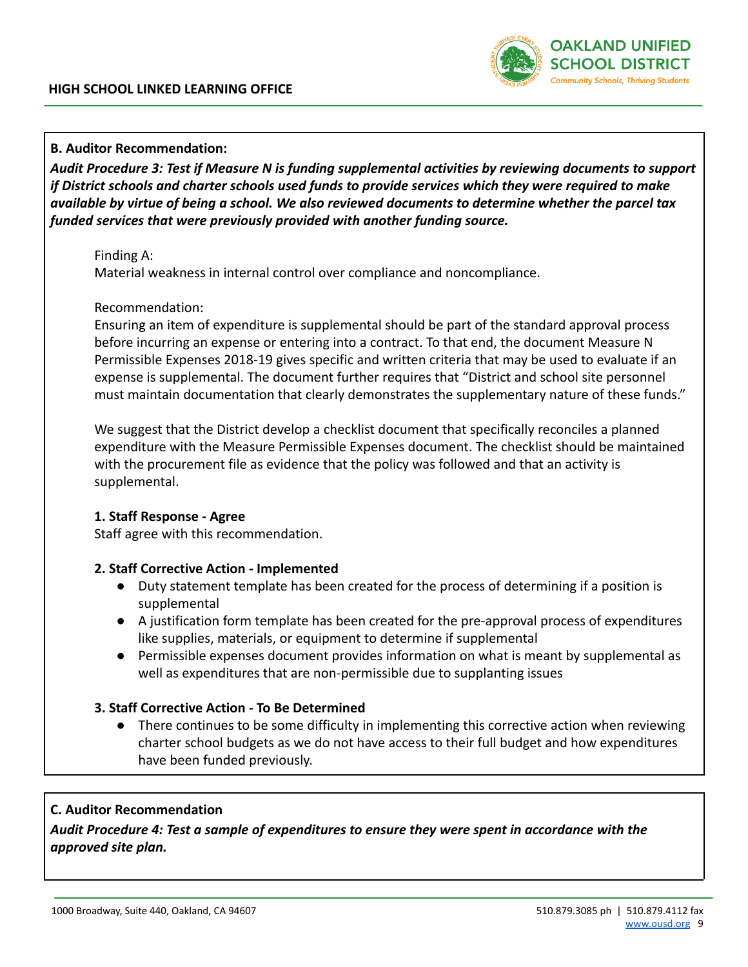

### **B. Auditor Recommendation:**

*Audit Procedure 3: Test if Measure N is funding supplemental activities by reviewing documents to support if District schools and charter schools used funds to provide services which they were required to make available by virtue of being a school. We also reviewed documents to determine whether the parcel tax funded services that were previously provided with another funding source.*

#### Finding A:

Material weakness in internal control over compliance and noncompliance.

#### Recommendation:

Ensuring an item of expenditure is supplemental should be part of the standard approval process before incurring an expense or entering into a contract. To that end, the document Measure N Permissible Expenses 2018-19 gives specific and written criteria that may be used to evaluate if an expense is supplemental. The document further requires that "District and school site personnel must maintain documentation that clearly demonstrates the supplementary nature of these funds."

We suggest that the District develop a checklist document that specifically reconciles a planned expenditure with the Measure Permissible Expenses document. The checklist should be maintained with the procurement file as evidence that the policy was followed and that an activity is supplemental.

#### **1. Staff Response - Agree**

Staff agree with this recommendation.

## **2. Staff Corrective Action - Implemented**

- Duty statement template has been created for the process of determining if a position is supplemental
- A justification form template has been created for the pre-approval process of expenditures like supplies, materials, or equipment to determine if supplemental
- Permissible expenses document provides information on what is meant by supplemental as well as expenditures that are non-permissible due to supplanting issues

## **3. Staff Corrective Action - To Be Determined**

● There continues to be some difficulty in implementing this corrective action when reviewing charter school budgets as we do not have access to their full budget and how expenditures have been funded previously.

## **C. Auditor Recommendation**

*Audit Procedure 4: Test a sample of expenditures to ensure they were spent in accordance with the approved site plan.*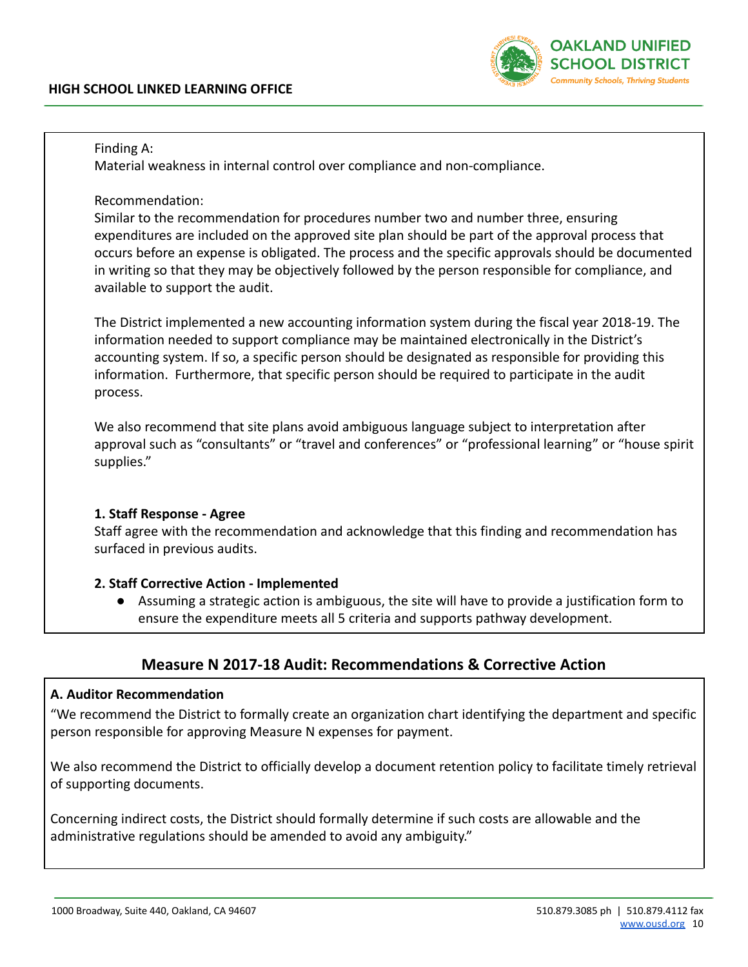

### Finding A:

Material weakness in internal control over compliance and non-compliance.

Recommendation:

Similar to the recommendation for procedures number two and number three, ensuring expenditures are included on the approved site plan should be part of the approval process that occurs before an expense is obligated. The process and the specific approvals should be documented in writing so that they may be objectively followed by the person responsible for compliance, and available to support the audit.

The District implemented a new accounting information system during the fiscal year 2018-19. The information needed to support compliance may be maintained electronically in the District's accounting system. If so, a specific person should be designated as responsible for providing this information. Furthermore, that specific person should be required to participate in the audit process.

We also recommend that site plans avoid ambiguous language subject to interpretation after approval such as "consultants" or "travel and conferences" or "professional learning" or "house spirit supplies."

## **1. Staff Response - Agree**

Staff agree with the recommendation and acknowledge that this finding and recommendation has surfaced in previous audits.

## **2. Staff Corrective Action - Implemented**

● Assuming a strategic action is ambiguous, the site will have to provide a justification form to ensure the expenditure meets all 5 criteria and supports pathway development.

# **Measure N 2017-18 Audit: Recommendations & Corrective Action**

## **A. Auditor Recommendation**

"We recommend the District to formally create an organization chart identifying the department and specific person responsible for approving Measure N expenses for payment.

We also recommend the District to officially develop a document retention policy to facilitate timely retrieval of supporting documents.

Concerning indirect costs, the District should formally determine if such costs are allowable and the administrative regulations should be amended to avoid any ambiguity."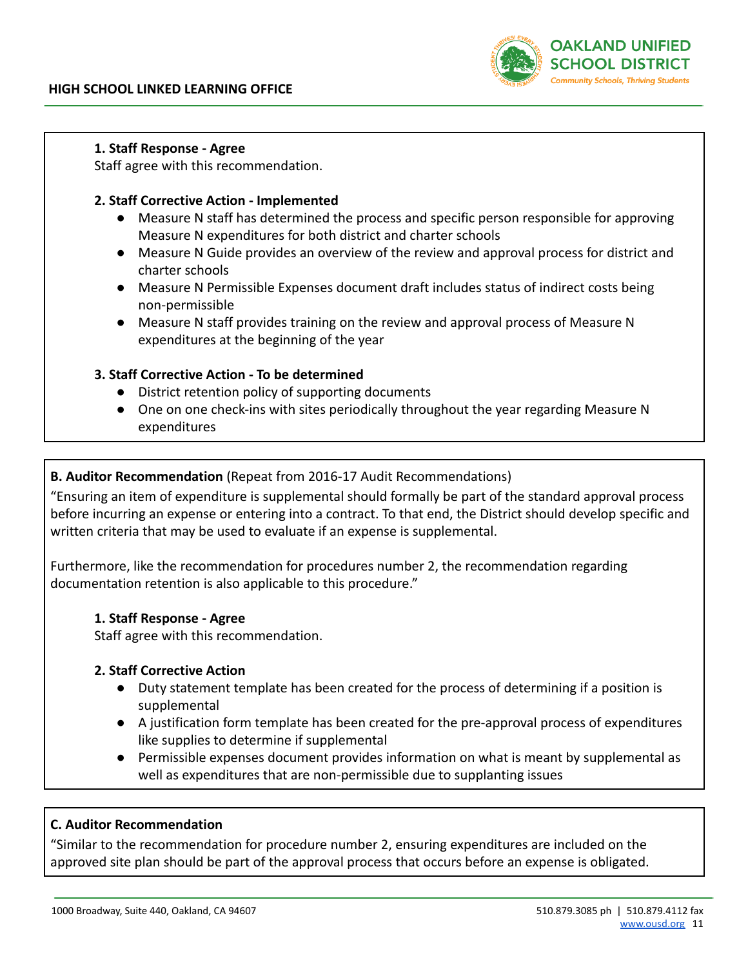

#### **1. Staff Response - Agree**

Staff agree with this recommendation.

### **2. Staff Corrective Action - Implemented**

- Measure N staff has determined the process and specific person responsible for approving Measure N expenditures for both district and charter schools
- Measure N Guide provides an overview of the review and approval process for district and charter schools
- Measure N Permissible Expenses document draft includes status of indirect costs being non-permissible
- Measure N staff provides training on the review and approval process of Measure N expenditures at the beginning of the year

#### **3. Staff Corrective Action - To be determined**

- District retention policy of supporting documents
- One on one check-ins with sites periodically throughout the year regarding Measure N expenditures

### **B. Auditor Recommendation** (Repeat from 2016-17 Audit Recommendations)

"Ensuring an item of expenditure is supplemental should formally be part of the standard approval process before incurring an expense or entering into a contract. To that end, the District should develop specific and written criteria that may be used to evaluate if an expense is supplemental.

Furthermore, like the recommendation for procedures number 2, the recommendation regarding documentation retention is also applicable to this procedure."

#### **1. Staff Response - Agree**

Staff agree with this recommendation.

#### **2. Staff Corrective Action**

- Duty statement template has been created for the process of determining if a position is supplemental
- A justification form template has been created for the pre-approval process of expenditures like supplies to determine if supplemental
- Permissible expenses document provides information on what is meant by supplemental as well as expenditures that are non-permissible due to supplanting issues

#### **C. Auditor Recommendation**

"Similar to the recommendation for procedure number 2, ensuring expenditures are included on the approved site plan should be part of the approval process that occurs before an expense is obligated.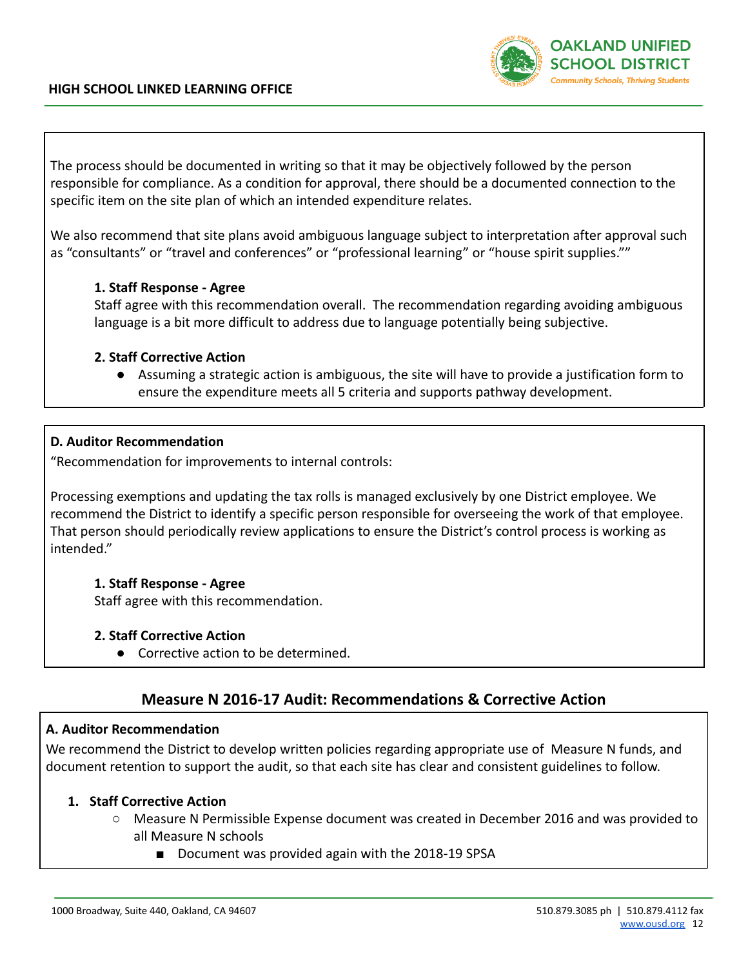### **HIGH SCHOOL LINKED LEARNING OFFICE**



The process should be documented in writing so that it may be objectively followed by the person responsible for compliance. As a condition for approval, there should be a documented connection to the specific item on the site plan of which an intended expenditure relates.

We also recommend that site plans avoid ambiguous language subject to interpretation after approval such as "consultants" or "travel and conferences" or "professional learning" or "house spirit supplies.""

#### **1. Staff Response - Agree**

Staff agree with this recommendation overall. The recommendation regarding avoiding ambiguous language is a bit more difficult to address due to language potentially being subjective.

#### **2. Staff Corrective Action**

● Assuming a strategic action is ambiguous, the site will have to provide a justification form to ensure the expenditure meets all 5 criteria and supports pathway development.

#### **D. Auditor Recommendation**

"Recommendation for improvements to internal controls:

Processing exemptions and updating the tax rolls is managed exclusively by one District employee. We recommend the District to identify a specific person responsible for overseeing the work of that employee. That person should periodically review applications to ensure the District's control process is working as intended."

#### **1. Staff Response - Agree**

Staff agree with this recommendation.

#### **2. Staff Corrective Action**

● Corrective action to be determined.

# **Measure N 2016-17 Audit: Recommendations & Corrective Action**

#### **A. Auditor Recommendation**

We recommend the District to develop written policies regarding appropriate use of Measure N funds, and document retention to support the audit, so that each site has clear and consistent guidelines to follow.

#### **1. Staff Corrective Action**

- Measure N Permissible Expense document was created in December 2016 and was provided to all Measure N schools
	- Document was provided again with the 2018-19 SPSA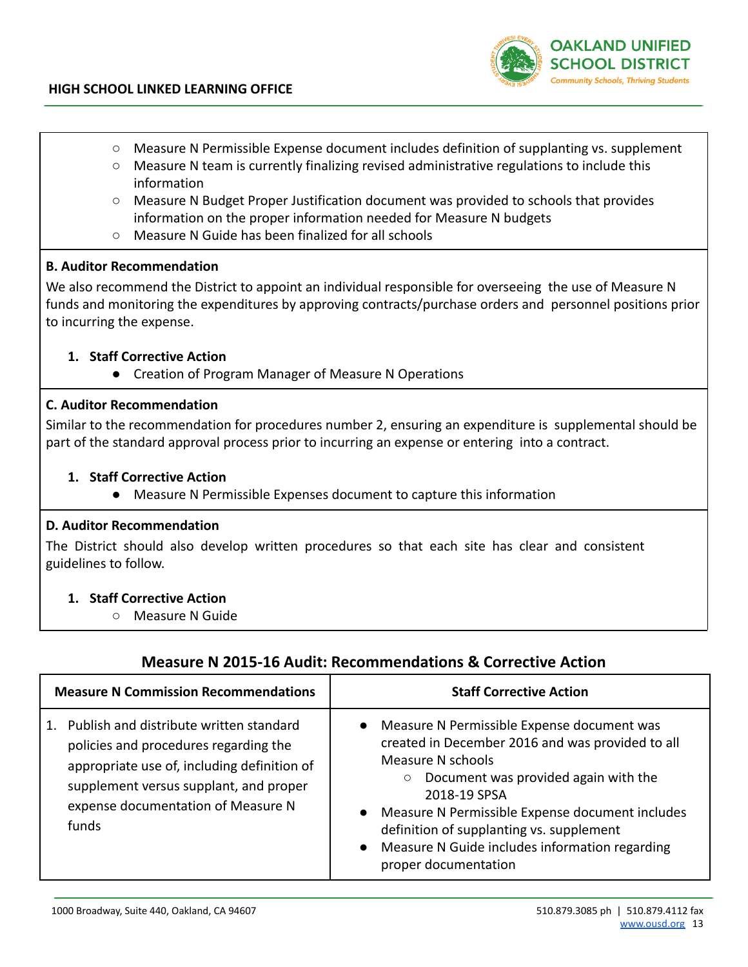

- Measure N Permissible Expense document includes definition of supplanting vs. supplement
- Measure N team is currently finalizing revised administrative regulations to include this information
- Measure N Budget Proper Justification document was provided to schools that provides information on the proper information needed for Measure N budgets
- Measure N Guide has been finalized for all schools

#### **B. Auditor Recommendation**

We also recommend the District to appoint an individual responsible for overseeing the use of Measure N funds and monitoring the expenditures by approving contracts/purchase orders and personnel positions prior to incurring the expense.

## **1. Staff Corrective Action**

● Creation of Program Manager of Measure N Operations

#### **C. Auditor Recommendation**

Similar to the recommendation for procedures number 2, ensuring an expenditure is supplemental should be part of the standard approval process prior to incurring an expense or entering into a contract.

#### **1. Staff Corrective Action**

● Measure N Permissible Expenses document to capture this information

#### **D. Auditor Recommendation**

The District should also develop written procedures so that each site has clear and consistent guidelines to follow.

## **1. Staff Corrective Action**

○ Measure N Guide

## **Measure N 2015-16 Audit: Recommendations & Corrective Action**

| <b>Measure N Commission Recommendations</b>                                                                                                                                                                                         | <b>Staff Corrective Action</b>                                                                                                                                                                                                                                                                                                                                                 |  |
|-------------------------------------------------------------------------------------------------------------------------------------------------------------------------------------------------------------------------------------|--------------------------------------------------------------------------------------------------------------------------------------------------------------------------------------------------------------------------------------------------------------------------------------------------------------------------------------------------------------------------------|--|
| Publish and distribute written standard<br>$1_{-}$<br>policies and procedures regarding the<br>appropriate use of, including definition of<br>supplement versus supplant, and proper<br>expense documentation of Measure N<br>funds | Measure N Permissible Expense document was<br>$\bullet$<br>created in December 2016 and was provided to all<br>Measure N schools<br>Document was provided again with the<br>2018-19 SPSA<br>Measure N Permissible Expense document includes<br>definition of supplanting vs. supplement<br>Measure N Guide includes information regarding<br>$\bullet$<br>proper documentation |  |